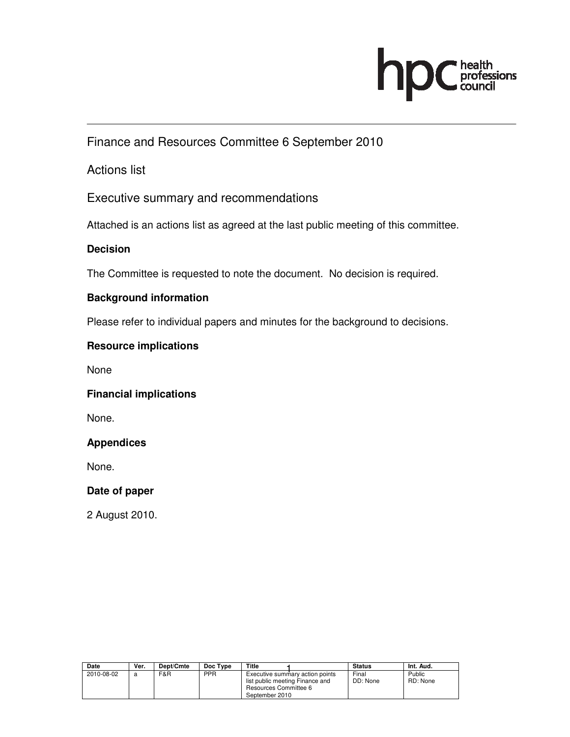

Finance and Resources Committee 6 September 2010

### Actions list

Executive summary and recommendations

Attached is an actions list as agreed at the last public meeting of this committee.

#### **Decision**

The Committee is requested to note the document. No decision is required.

#### **Background information**

Please refer to individual papers and minutes for the background to decisions.

#### **Resource implications**

None

#### **Financial implications**

None.

#### **Appendices**

None.

#### **Date of paper**

2 August 2010.

| Date       | Ver. | Dept/Cmte | Doc Type   | Title                                                                                                         | <b>Status</b>     | Int. Aud.          |
|------------|------|-----------|------------|---------------------------------------------------------------------------------------------------------------|-------------------|--------------------|
| 2010-08-02 | a    | F&R       | <b>PPR</b> | Executive summary action points<br>list public meeting Finance and<br>Resources Committee 6<br>September 2010 | Final<br>DD: None | Public<br>RD: None |